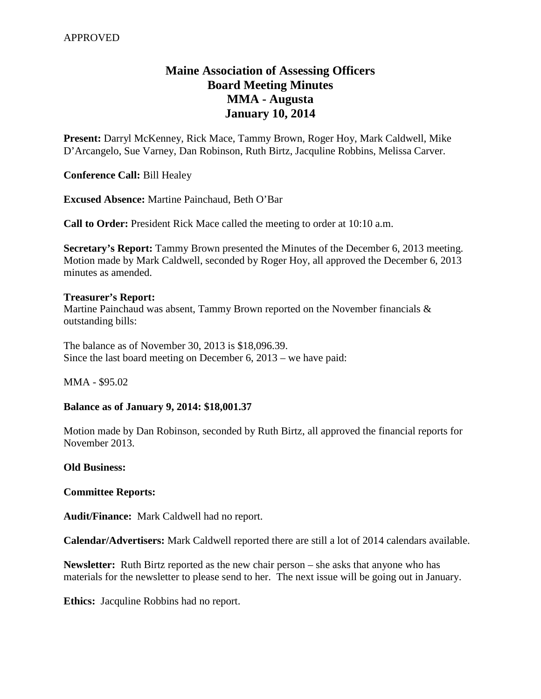# **Maine Association of Assessing Officers Board Meeting Minutes MMA - Augusta January 10, 2014**

**Present:** Darryl McKenney, Rick Mace, Tammy Brown, Roger Hoy, Mark Caldwell, Mike D'Arcangelo, Sue Varney, Dan Robinson, Ruth Birtz, Jacquline Robbins, Melissa Carver.

**Conference Call:** Bill Healey

**Excused Absence:** Martine Painchaud, Beth O'Bar

**Call to Order:** President Rick Mace called the meeting to order at 10:10 a.m.

**Secretary's Report:** Tammy Brown presented the Minutes of the December 6, 2013 meeting. Motion made by Mark Caldwell, seconded by Roger Hoy, all approved the December 6, 2013 minutes as amended.

### **Treasurer's Report:**

Martine Painchaud was absent, Tammy Brown reported on the November financials  $\&$ outstanding bills:

The balance as of November 30, 2013 is \$18,096.39. Since the last board meeting on December 6, 2013 – we have paid:

MMA - \$95.02

## **Balance as of January 9, 2014: \$18,001.37**

Motion made by Dan Robinson, seconded by Ruth Birtz, all approved the financial reports for November 2013.

### **Old Business:**

### **Committee Reports:**

**Audit/Finance:** Mark Caldwell had no report.

**Calendar/Advertisers:** Mark Caldwell reported there are still a lot of 2014 calendars available.

**Newsletter:** Ruth Birtz reported as the new chair person – she asks that anyone who has materials for the newsletter to please send to her. The next issue will be going out in January.

**Ethics:** Jacquline Robbins had no report.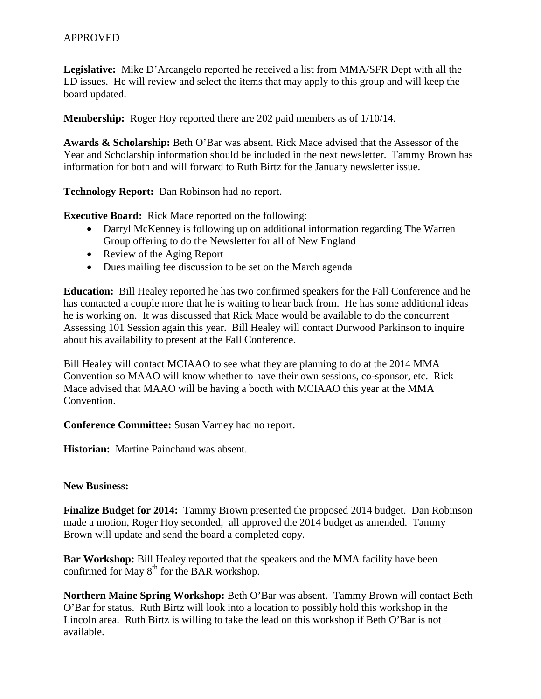**Legislative:** Mike D'Arcangelo reported he received a list from MMA/SFR Dept with all the LD issues. He will review and select the items that may apply to this group and will keep the board updated.

**Membership:** Roger Hoy reported there are 202 paid members as of  $1/10/14$ .

**Awards & Scholarship:** Beth O'Bar was absent. Rick Mace advised that the Assessor of the Year and Scholarship information should be included in the next newsletter. Tammy Brown has information for both and will forward to Ruth Birtz for the January newsletter issue.

**Technology Report:** Dan Robinson had no report.

**Executive Board:** Rick Mace reported on the following:

- Darryl McKenney is following up on additional information regarding The Warren Group offering to do the Newsletter for all of New England
- Review of the Aging Report
- Dues mailing fee discussion to be set on the March agenda

**Education:** Bill Healey reported he has two confirmed speakers for the Fall Conference and he has contacted a couple more that he is waiting to hear back from. He has some additional ideas he is working on. It was discussed that Rick Mace would be available to do the concurrent Assessing 101 Session again this year. Bill Healey will contact Durwood Parkinson to inquire about his availability to present at the Fall Conference.

Bill Healey will contact MCIAAO to see what they are planning to do at the 2014 MMA Convention so MAAO will know whether to have their own sessions, co-sponsor, etc. Rick Mace advised that MAAO will be having a booth with MCIAAO this year at the MMA Convention.

**Conference Committee:** Susan Varney had no report.

**Historian:** Martine Painchaud was absent.

### **New Business:**

**Finalize Budget for 2014:** Tammy Brown presented the proposed 2014 budget. Dan Robinson made a motion, Roger Hoy seconded, all approved the 2014 budget as amended. Tammy Brown will update and send the board a completed copy.

**Bar Workshop:** Bill Healey reported that the speakers and the MMA facility have been confirmed for May  $8<sup>th</sup>$  for the BAR workshop.

**Northern Maine Spring Workshop:** Beth O'Bar was absent. Tammy Brown will contact Beth O'Bar for status. Ruth Birtz will look into a location to possibly hold this workshop in the Lincoln area. Ruth Birtz is willing to take the lead on this workshop if Beth O'Bar is not available.